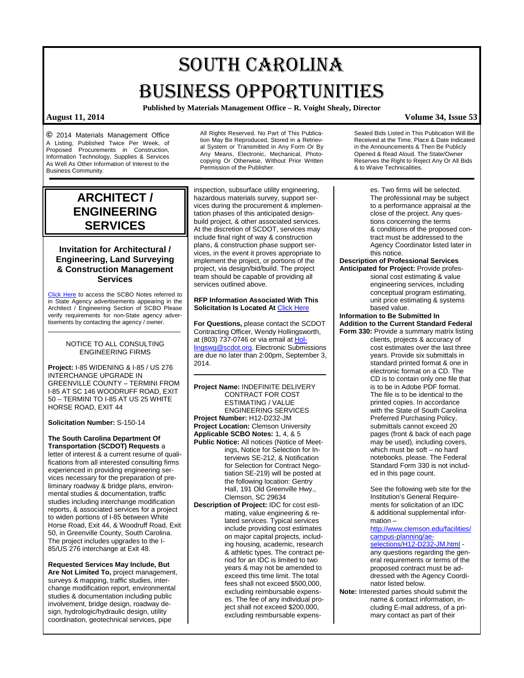# SOUTH CAROLINA BUSINESS OPPORTUNITIES

**Published by Materials Management Office – R. Voight Shealy, Director**

**©** 2014 Materials Management Office A Listing, Published Twice Per Week, of Proposed Procurements in Construction, Information Technology, Supplies & Services As Well As Other Information of Interest to the Business Community.

All Rights Reserved. No Part of This Publication May Be Reproduced, Stored in a Retrieval System or Transmitted in Any Form Or By Any Means, Electronic, Mechanical, Photocopying Or Otherwise, Without Prior Written Permission of the Publisher.

## **ARCHITECT / ENGINEERING SERVICES**

## **Invitation for Architectural / Engineering, Land Surveying & Construction Management Services**

[Click Here](http://www.mmo.sc.gov/PS/general/scbo/SCBO_Notes_060512.pdf) to access the SCBO Notes referred to in State Agency advertisements appearing in the Architect / Engineering Section of SCBO Please verify requirements for non-State agency advertisements by contacting the agency / owner.

### NOTICE TO ALL CONSULTING ENGINEERING FIRMS

**Project:** I-85 WIDENING & I-85 / US 276 INTERCHANGE UPGRADE IN GREENVILLE COUNTY – TERMINI FROM I-85 AT SC 146 WOODRUFF ROAD, EXIT 50 – TERMINI TO I-85 AT US 25 WHITE HORSE ROAD, EXIT 44

### **Solicitation Number:** S-150-14

**The South Carolina Department Of Transportation (SCDOT) Requests** a letter of interest & a current resume of qualifications from all interested consulting firms experienced in providing engineering services necessary for the preparation of preliminary roadway & bridge plans, environmental studies & documentation, traffic studies including interchange modification reports, & associated services for a project to widen portions of I-85 between White Horse Road, Exit 44, & Woodruff Road, Exit 50, in Greenville County, South Carolina. The project includes upgrades to the I-85/US 276 interchange at Exit 48.

**Requested Services May Include, But Are Not Limited To,** project management, surveys & mapping, traffic studies, interchange modification report, environmental studies & documentation including public involvement, bridge design, roadway design, hydrologic/hydraulic design, utility coordination, geotechnical services, pipe

inspection, subsurface utility engineering, hazardous materials survey, support services during the procurement & implementation phases of this anticipated designbuild project, & other associated services. At the discretion of SCDOT, services may include final right of way & construction plans, & construction phase support services, in the event it proves appropriate to implement the project, or portions of the project, via design/bid/build. The project team should be capable of providing all services outlined above.

### **RFP Information Associated With This Solicitation Is Located At [Click Here](http://www.scdot.org/doing/constructionLetting_Services.aspx)**

**For Questions,** please contact the SCDOT Contracting Officer, Wendy Hollingsworth, at (803) 737-0746 or via email a[t Hol](mailto:Hollingswg@scdot.org)[lingswg@scdot.org.](mailto:Hollingswg@scdot.org) Electronic Submissions are due no later than 2:00pm, September 3, 2014.

**Project Name:** INDEFINITE DELIVERY CONTRACT FOR COST ESTIMATING / VALUE ENGINEERING SERVICES **Project Number:** H12-D232-JM **Project Location:** Clemson University **Applicable SCBO Notes:** 1, 4, & 5 **Public Notice:** All notices (Notice of Meetings, Notice for Selection for Interviews SE-212, & Notification for Selection for Contract Negotiation SE-219) will be posted at the following location: Gentry Hall, 191 Old Greenville Hwy.,

Clemson, SC 29634 **Description of Project:** IDC for cost estimating, value engineering & related services. Typical services include providing cost estimates on major capital projects, including housing, academic, research & athletic types. The contract period for an IDC is limited to two years & may not be amended to exceed this time limit. The total fees shall not exceed \$500,000, excluding reimbursable expenses. The fee of any individual project shall not exceed \$200,000, excluding reimbursable expensSealed Bids Listed in This Publication Will Be Received at the Time, Place & Date Indicated in the Announcements & Then Be Publicly Opened & Read Aloud. The State/Owner Reserves the Right to Reject Any Or All Bids & to Waive Technicalities.

> es. Two firms will be selected. The professional may be subject to a performance appraisal at the close of the project. Any questions concerning the terms & conditions of the proposed contract must be addressed to the Agency Coordinator listed later in this notice.

**Description of Professional Services**

**Anticipated for Project:** Provide professional cost estimating & value engineering services, including conceptual program estimating, unit price estimating & systems based value.

### **Information to Be Submitted In Addition to the Current Standard Federal Form 330:** Provide a summary matrix listing

clients, projects & accuracy of cost estimates over the last three years. Provide six submittals in standard printed format & one in electronic format on a CD. The CD is to contain only one file that is to be in Adobe PDF format. The file is to be identical to the printed copies. In accordance with the State of South Carolina Preferred Purchasing Policy, submittals cannot exceed 20 pages (front & back of each page may be used), including covers, which must be soft – no hard notebooks, please. The Federal Standard Form 330 is not included in this page count.

See the following web site for the Institution's General Requirements for solicitation of an IDC & additional supplemental information –

[http://www.clemson.edu/facilities/](http://www.clemson.edu/facilities/campus-planning/ae-selections/H12-D232-JM.html) [campus-planning/ae](http://www.clemson.edu/facilities/campus-planning/ae-selections/H12-D232-JM.html)[selections/H12-D232-JM.html](http://www.clemson.edu/facilities/campus-planning/ae-selections/H12-D232-JM.html)

any questions regarding the general requirements or terms of the proposed contract must be addressed with the Agency Coordinator listed below.

**Note:** Interested parties should submit the name & contact information, including E-mail address, of a primary contact as part of their

## **August 11, 2014 Volume 34, Issue 53**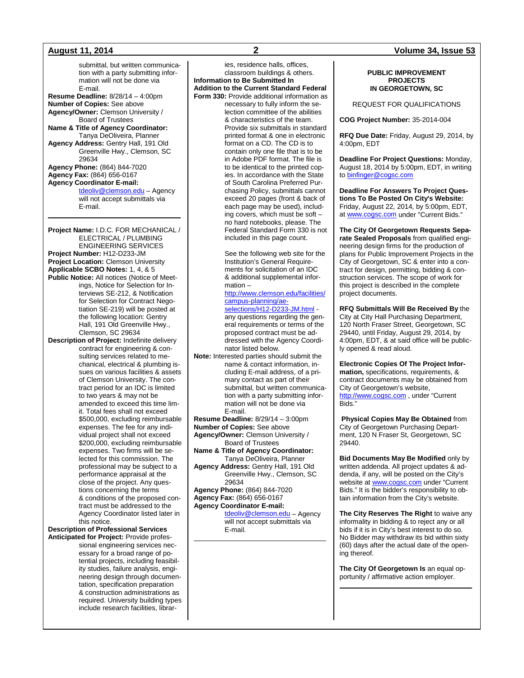submittal, but written communication with a party submitting information will not be done via E-mail. **Resume Deadline:** 8/28/14 – 4:00pm **Number of Copies:** See above **Agency/Owner:** Clemson University / Board of Trustees **Name & Title of Agency Coordinator:** Tanya DeOliveira, Planner **Agency Address:** Gentry Hall, 191 Old Greenville Hwy., Clemson, SC 29634 **Agency Phone:** (864) 844-7020 **Agency Fax:** (864) 656-0167 **Agency Coordinator E-mail:** [tdeoliv@clemson.edu](mailto:tdeoliv@clemson.edu)</u> - Agency will not accept submittals via E-mail. **Project Name:** I.D.C. FOR MECHANICAL /

ELECTRICAL / PLUMBING ENGINEERING SERVICES **Project Number:** H12-D233-JM **Project Location:** Clemson University **Applicable SCBO Notes:** 1, 4, & 5 **Public Notice:** All notices (Notice of Meetings, Notice for Selection for Interviews SE-212, & Notification for Selection for Contract Negotiation SE-219) will be posted at the following location: Gentry Hall, 191 Old Greenville Hwy., Clemson, SC 29634

**Description of Project:** Indefinite delivery contract for engineering & consulting services related to mechanical, electrical & plumbing issues on various facilities & assets of Clemson University. The contract period for an IDC is limited to two years & may not be amended to exceed this time limit. Total fees shall not exceed \$500,000, excluding reimbursable expenses. The fee for any individual project shall not exceed \$200,000, excluding reimbursable expenses. Two firms will be selected for this commission. The professional may be subject to a performance appraisal at the close of the project. Any questions concerning the terms & conditions of the proposed contract must be addressed to the Agency Coordinator listed later in this notice.

**Description of Professional Services Anticipated for Project:** Provide professional engineering services necessary for a broad range of potential projects, including feasibility studies, failure analysis, engineering design through documentation, specification preparation & construction administrations as required. University building types include research facilities, librar-

ies, residence halls, offices, classroom buildings & others. **Information to Be Submitted In Addition to the Current Standard Federal Form 330:** Provide additional information as necessary to fully inform the selection committee of the abilities & characteristics of the team. Provide six submittals in standard printed format & one in electronic format on a CD. The CD is to contain only one file that is to be in Adobe PDF format. The file is to be identical to the printed copies. In accordance with the State of South Carolina Preferred Purchasing Policy, submittals cannot exceed 20 pages (front & back of each page may be used), including covers, which must be soft – no hard notebooks, please. The Federal Standard Form 330 is not

> See the following web site for the Institution's General Requirements for solicitation of an IDC & additional supplemental information –

included in this page count.

[http://www.clemson.edu/facilities/](http://www.clemson.edu/facilities/campus-planning/ae-selections/H12-D233-JM.html) [campus-planning/ae](http://www.clemson.edu/facilities/campus-planning/ae-selections/H12-D233-JM.html)[selections/H12-D233-JM.html](http://www.clemson.edu/facilities/campus-planning/ae-selections/H12-D233-JM.html)

any questions regarding the general requirements or terms of the proposed contract must be addressed with the Agency Coordinator listed below.

**Note:** Interested parties should submit the name & contact information, including E-mail address, of a primary contact as part of their submittal, but written communication with a party submitting information will not be done via E-mail.

**Resume Deadline:** 8/29/14 – 3:00pm

**Number of Copies:** See above **Agency/Owner:** Clemson University /

Board of Trustees

**Name & Title of Agency Coordinator:** Tanya DeOliveira, Planner

**Agency Address:** Gentry Hall, 191 Old Greenville Hwy., Clemson, SC 29634

**Agency Phone:** (864) 844-7020

**Agency Fax:** (864) 656-0167 **Agency Coordinator E-mail:**

[tdeoliv@clemson.edu](mailto:tdeoliv@clemson.edu) – Agency will not accept submittals via E-mail.

### **August 11, 2014 2 Volume 34, Issue 53**

### **PUBLIC IMPROVEMENT PROJECTS IN GEORGETOWN, SC**

### REQUEST FOR QUALIFICATIONS

**COG Project Number:** 35-2014-004

**RFQ Due Date:** Friday, August 29, 2014, by 4:00pm, EDT

**Deadline For Project Questions:** Monday, August 18, 2014 by 5:00pm, EDT, in writing t[o binfinger@cogsc.com](mailto:binfinger@cogsc.com)

**Deadline For Answers To Project Questions To Be Posted On City's Website:** Friday, August 22, 2014, by 5:00pm, EDT, a[t www.cogsc.com](http://www.cogsc.com/) under "Current Bids."

**The City Of Georgetown Requests Separate Sealed Proposals** from qualified engineering design firms for the production of plans for Public Improvement Projects in the City of Georgetown, SC & enter into a contract for design, permitting, bidding & construction services. The scope of work for this project is described in the complete project documents.

**RFQ Submittals Will Be Received By** the City at City Hall Purchasing Department, 120 North Fraser Street, Georgetown, SC 29440, until Friday, August 29, 2014, by 4:00pm, EDT, & at said office will be publicly opened & read aloud.

**Electronic Copies Of The Project Information,** specifications, requirements, & contract documents may be obtained from City of Georgetown's website, [http://www.cogsc.com](http://www.cogsc.com/) , under "Current Bids."

**Physical Copies May Be Obtained** from City of Georgetown Purchasing Department, 120 N Fraser St, Georgetown, SC 29440.

**Bid Documents May Be Modified** only by written addenda. All project updates & addenda, if any, will be posted on the City's website at **www.cogsc.com** under "Current" Bids." It is the bidder's responsibility to obtain information from the City's website.

**The City Reserves The Right** to waive any informality in bidding & to reject any or all bids if it is in City's best interest to do so. No Bidder may withdraw its bid within sixty (60) days after the actual date of the opening thereof.

**The City Of Georgetown Is** an equal opportunity / affirmative action employer.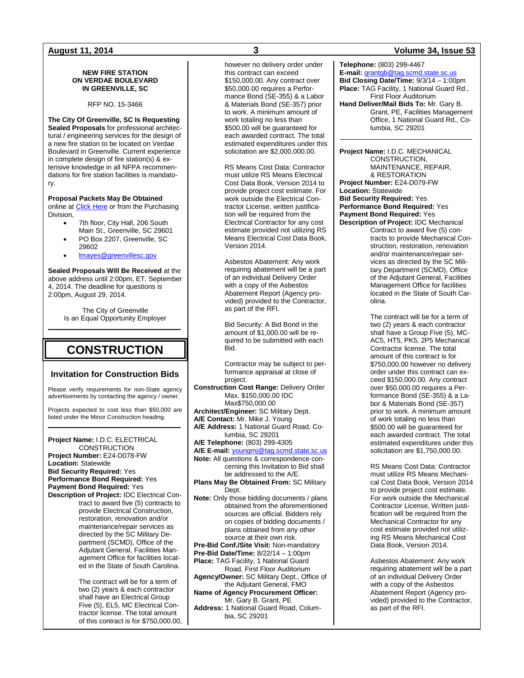### **NEW FIRE STATION ON VERDAE BOULEVARD IN GREENVILLE, SC**

RFP NO. 15-3466

**The City Of Greenville, SC Is Requesting Sealed Proposals** for professional architectural / engineering services for the design of a new fire station to be located on Verdae Boulevard in Greenville. Current experience in complete design of fire station(s) & extensive knowledge in all NFPA recommendations for fire station facilities is mandatory.

### **Proposal Packets May Be Obtained**

online at **[Click Here](http://www.greenvillesc.gov/omb/BidsRFPs.aspx)** or from the Purchasing Division,

- 7th floor, City Hall, 206 South Main St., Greenville, SC 29601
- PO Box 2207, Greenville, SC 29602
- [lmayes@greenvillesc.gov](mailto:lmayes@greenvillesc.gov)

**Sealed Proposals Will Be Received** at the above address until 2:00pm, ET, September 4, 2014. The deadline for questions is 2:00pm, August 29, 2014.

> The City of Greenville Is an Equal Opportunity Employer

## **CONSTRUCTION**

### **Invitation for Construction Bids**

Please verify requirements for non-State agency advertisements by contacting the agency / owner.

Projects expected to cost less than \$50,000 are listed under the Minor Construction heading.

### **Project Name:** I.D.C. ELECTRICAL **CONSTRUCTION**

**Project Number:** E24-D078-FW **Location:** Statewide **Bid Security Required:** Yes **Performance Bond Required:** Yes **Payment Bond Required:** Yes **Description of Project:** IDC Electrical Con-

tract to award five (5) contracts to provide Electrical Construction, restoration, renovation and/or maintenance/repair services as directed by the SC Military Department (SCMD), Office of the Adjutant General, Facilities Management Office for facilities located in the State of South Carolina.

> The contract will be for a term of two (2) years & each contractor shall have an Electrical Group Five (5), EL5, MC Electrical Contractor license. The total amount of this contract is for \$750,000.00,

however no delivery order under this contract can exceed \$150,000.00. Any contract over \$50,000.00 requires a Performance Bond (SE-355) & a Labor & Materials Bond (SE-357) prior to work. A minimum amount of work totaling no less than \$500.00 will be guaranteed for each awarded contract. The total estimated expenditures under this solicitation are \$2,000,000.00.

RS Means Cost Data: Contractor must utilize RS Means Electrical Cost Data Book, Version 2014 to provide project cost estimate. For work outside the Electrical Contractor License, written justification will be required from the Electrical Contractor for any cost estimate provided not utilizing RS Means Electrical Cost Data Book, Version 2014.

Asbestos Abatement: Any work requiring abatement will be a part of an individual Delivery Order with a copy of the Asbestos Abatement Report (Agency provided) provided to the Contractor, as part of the RFI.

Bid Security: A Bid Bond in the amount of \$1,000.00 will be required to be submitted with each Bid.

Contractor may be subject to performance appraisal at close of project.

**Construction Cost Range:** Delivery Order Max. \$150,000.00 IDC Max\$750,000.00 **Architect/Engineer:** SC Military Dept. **A/E Contact:** Mr. Mike J. Young **A/E Address:** 1 National Guard Road, Columbia, SC 29201 **A/E Telephone:** (803) 299-4305 **A/E E-mail:** [youngmj@tag.scmd.state.sc.us](mailto:youngmj@tag.scmd.state.sc.us) **Note:** All questions & correspondence con-

cerning this Invitation to Bid shall be addressed to the A/E.

**Plans May Be Obtained From:** SC Military Dept.

**Note:** Only those bidding documents / plans obtained from the aforementioned sources are official. Bidders rely on copies of bidding documents / plans obtained from any other source at their own risk. **Pre-Bid Conf./Site Visit:** Non-mandatory

**Pre-Bid Date/Time:** 8/22/14 – 1:00pm

**Place:** TAG Facility, 1 National Guard

Road, First Floor Auditorium **Agency/Owner:** SC Military Dept., Office of the Adjutant General, FMO

**Name of Agency Procurement Officer:** Mr. Gary B. Grant, PE **Address:** 1 National Guard Road, Columbia, SC 29201

### **August 11, 2014 3 Volume 34, Issue 53**

**Telephone:** (803) 299-4467 **E-mail:** [grantgb@tag.scmd.state.sc.us](mailto:grantgb@tag.scmd.state.sc.us) **Bid Closing Date/Time:** 9/3/14 – 1:00pm **Place:** TAG Facility, 1 National Guard Rd., First Floor Auditorium **Hand Deliver/Mail Bids To:** Mr. Gary B. Grant, PE, Facilities Management Office, 1 National Guard Rd., Co-

**Project Name:** I.D.C. MECHANICAL CONSTRUCTION, MAINTENANCE, REPAIR, & RESTORATION **Project Number:** E24-D079-FW **Location:** Statewide **Bid Security Required:** Yes **Performance Bond Required:** Yes **Payment Bond Required:** Yes **Description of Project:** IDC Mechanical

lumbia, SC 29201

Contract to award five (5) contracts to provide Mechanical Construction, restoration, renovation and/or maintenance/repair services as directed by the SC Military Department (SCMD), Office of the Adjutant General, Facilities Management Office for facilities located in the State of South Carolina.

The contract will be for a term of two (2) years & each contractor shall have a Group Five (5), MC-AC5, HT5, PK5, 2P5 Mechanical Contractor license. The total amount of this contract is for \$750,000.00 however no delivery order under this contract can exceed \$150,000.00. Any contract over \$50,000.00 requires a Performance Bond (SE-355) & a Labor & Materials Bond (SE-357) prior to work. A minimum amount of work totaling no less than \$500.00 will be guaranteed for each awarded contract. The total estimated expenditures under this solicitation are \$1,750,000.00.

RS Means Cost Data: Contractor must utilize RS Means Mechanical Cost Data Book, Version 2014 to provide project cost estimate. For work outside the Mechanical Contractor License, Written justification will be required from the Mechanical Contractor for any cost estimate provided not utilizing RS Means Mechanical Cost Data Book, Version 2014.

Asbestos Abatement: Any work requiring abatement will be a part of an individual Delivery Order with a copy of the Asbestos Abatement Report (Agency provided) provided to the Contractor, as part of the RFI.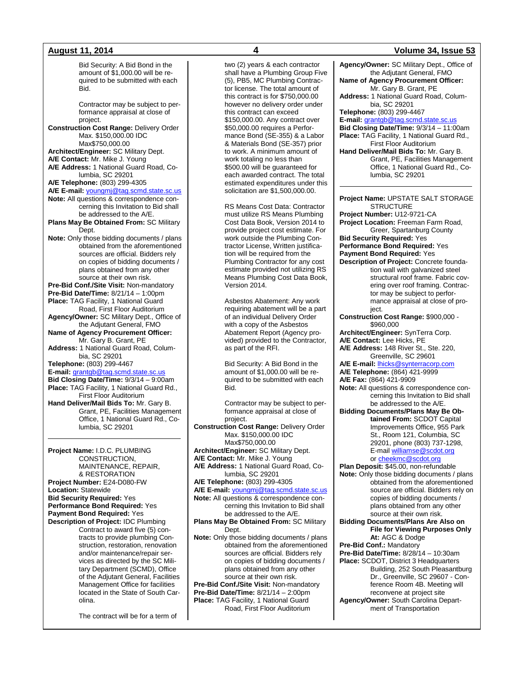Bid Security: A Bid Bond in the amount of \$1,000.00 will be required to be submitted with each Bid. Contractor may be subject to performance appraisal at close of project. **Construction Cost Range:** Delivery Order Max. \$150,000.00 IDC Max\$750,000.00 **Architect/Engineer:** SC Military Dept. **A/E Contact:** Mr. Mike J. Young **A/E Address:** 1 National Guard Road, Columbia, SC 29201 **A/E Telephone:** (803) 299-4305 **A/E E-mail:** [youngmj@tag.scmd.state.sc.us](mailto:youngmj@tag.scmd.state.sc.us) **Note:** All questions & correspondence concerning this Invitation to Bid shall be addressed to the A/E. **Plans May Be Obtained From:** SC Military Dept. **Note:** Only those bidding documents / plans obtained from the aforementioned sources are official. Bidders rely on copies of bidding documents / plans obtained from any other source at their own risk. **Pre-Bid Conf./Site Visit:** Non-mandatory **Pre-Bid Date/Time:** 8/21/14 – 1:00pm **Place:** TAG Facility, 1 National Guard Road, First Floor Auditorium **Agency/Owner:** SC Military Dept., Office of the Adjutant General, FMO **Name of Agency Procurement Officer:** Mr. Gary B. Grant, PE **Address:** 1 National Guard Road, Columbia, SC 29201 **Telephone:** (803) 299-4467 **E-mail:** [grantgb@tag.scmd.state.sc.us](mailto:grantgb@tag.scmd.state.sc.us) **Bid Closing Date/Time:** 9/3/14 – 9:00am **Place:** TAG Facility, 1 National Guard Rd., First Floor Auditorium **Hand Deliver/Mail Bids To:** Mr. Gary B. Grant, PE, Facilities Management Office, 1 National Guard Rd., Columbia, SC 29201 **Project Name:** I.D.C. PLUMBING CONSTRUCTION, MAINTENANCE, REPAIR, & RESTORATION **Project Number:** E24-D080-FW **Location:** Statewide **Bid Security Required:** Yes **Performance Bond Required:** Yes **Payment Bond Required:** Yes

**Description of Project:** IDC Plumbing Contract to award five (5) contracts to provide plumbing Construction, restoration, renovation and/or maintenance/repair services as directed by the SC Military Department (SCMD), Office of the Adjutant General, Facilities Management Office for facilities located in the State of South Carolina.

The contract will be for a term of

two (2) years & each contractor shall have a Plumbing Group Five (5), PB5, MC Plumbing Contractor license. The total amount of this contract is for \$750,000.00 however no delivery order under this contract can exceed \$150,000.00. Any contract over \$50,000.00 requires a Performance Bond (SE-355) & a Labor & Materials Bond (SE-357) prior to work. A minimum amount of work totaling no less than \$500.00 will be guaranteed for each awarded contract. The total estimated expenditures under this solicitation are \$1,500,000.00.

RS Means Cost Data: Contractor must utilize RS Means Plumbing Cost Data Book, Version 2014 to provide project cost estimate. For work outside the Plumbing Contractor License, Written justification will be required from the Plumbing Contractor for any cost estimate provided not utilizing RS Means Plumbing Cost Data Book, Version 2014.

Asbestos Abatement: Any work requiring abatement will be a part of an individual Delivery Order with a copy of the Asbestos Abatement Report (Agency provided) provided to the Contractor, as part of the RFI.

Bid Security: A Bid Bond in the amount of \$1,000.00 will be required to be submitted with each Bid.

Contractor may be subject to performance appraisal at close of project.

**Construction Cost Range:** Delivery Order Max. \$150,000.00 IDC Max\$750,000.00 **Architect/Engineer:** SC Military Dept. **A/E Contact:** Mr. Mike J. Young **A/E Address:** 1 National Guard Road, Columbia, SC 29201 **A/E Telephone:** (803) 299-4305 **A/E E-mail:** [youngmj@tag.scmd.state.sc.us](mailto:youngmj@tag.scmd.state.sc.us) **Note:** All questions & correspondence concerning this Invitation to Bid shall be addressed to the A/E. **Plans May Be Obtained From:** SC Military Dept. **Note:** Only those bidding documents / plans obtained from the aforementioned sources are official. Bidders rely on copies of bidding documents / plans obtained from any other source at their own risk. **Pre-Bid Conf./Site Visit:** Non-mandatory **Pre-Bid Date/Time:** 8/21/14 – 2:00pm **Place:** TAG Facility, 1 National Guard Road, First Floor Auditorium

### **August 11, 2014 4 Volume 34, Issue 53**

**Agency/Owner:** SC Military Dept., Office of the Adjutant General, FMO **Name of Agency Procurement Officer:** Mr. Gary B. Grant, PE **Address:** 1 National Guard Road, Columbia, SC 29201 **Telephone:** (803) 299-4467 **E-mail:** [grantgb@tag.scmd.state.sc.us](mailto:grantgb@tag.scmd.state.sc.us) **Bid Closing Date/Time:** 9/3/14 – 11:00am **Place:** TAG Facility, 1 National Guard Rd., First Floor Auditorium **Hand Deliver/Mail Bids To:** Mr. Gary B. Grant, PE, Facilities Management Office, 1 National Guard Rd., Columbia, SC 29201 **Project Name:** UPSTATE SALT STORAGE **STRUCTURE Project Number:** U12-9721-CA **Project Location:** Freeman Farm Road, Greer, Spartanburg County **Bid Security Required:** Yes **Performance Bond Required:** Yes **Payment Bond Required:** Yes **Description of Project:** Concrete foundation wall with galvanized steel structural roof frame. Fabric covering over roof framing. Contractor may be subject to performance appraisal at close of project. **Construction Cost Range:** \$900,000 - \$960,000 **Architect/Engineer:** SynTerra Corp. **A/E Contact:** Lee Hicks, PE **A/E Address:** 148 River St., Ste. 220, Greenville, SC 29601 **A/E E-mail:** [lhicks@synterracorp.com](mailto:lhicks@synterracorp.com) **A/E Telephone:** (864) 421-9999 **A/E Fax:** (864) 421-9909 **Note:** All questions & correspondence concerning this Invitation to Bid shall be addressed to the A/E. **Bidding Documents/Plans May Be Obtained From:** SCDOT Capital Improvements Office, 955 Park St., Room 121, Columbia, SC 29201, phone (803) 737-1298, E-mai[l williamse@scdot.org](mailto:williamse@scdot.org) or [cheekmc@scdot.org](mailto:cheekmc@scdot.org) **Plan Deposit:** \$45.00, non-refundable **Note:** Only those bidding documents / plans obtained from the aforementioned source are official. Bidders rely on copies of bidding documents / plans obtained from any other source at their own risk. **Bidding Documents/Plans Are Also on File for Viewing Purposes Only At:** AGC & Dodge **Pre-Bid Conf.:** Mandatory **Pre-Bid Date/Time:** 8/28/14 – 10:30am **Place:** SCDOT, District 3 Headquarters Building, 252 South Pleasantburg Dr., Greenville, SC 29607 - Conference Room 4B. Meeting will reconvene at project site

**Agency/Owner:** South Carolina Department of Transportation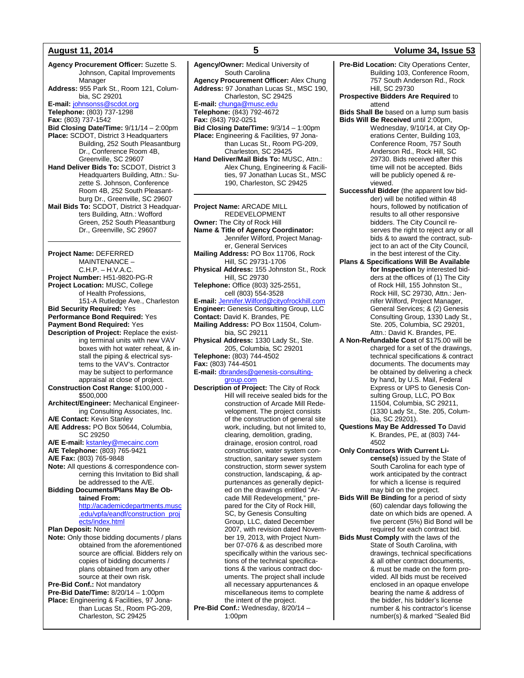### **August 11, 2014 5 Volume 34, Issue 53**

**Agency Procurement Officer:** Suzette S. Johnson, Capital Improvements Manager **Address:** 955 Park St., Room 121, Columbia, SC 29201 **E-mail:** [johnsonss@scdot.org](mailto:johnsonss@scdot.org) **Telephone:** (803) 737-1298 **Fax:** (803) 737-1542 **Bid Closing Date/Time:** 9/11/14 – 2:00pm **Place:** SCDOT, District 3 Headquarters Building, 252 South Pleasantburg Dr., Conference Room 4B, Greenville, SC 29607 **Hand Deliver Bids To:** SCDOT, District 3 Headquarters Building, Attn.: Suzette S. Johnson, Conference Room 4B, 252 South Pleasantburg Dr., Greenville, SC 29607 **Mail Bids To:** SCDOT, District 3 Headquarters Building, Attn.: Wofford Green, 252 South Pleasantburg Dr., Greenville, SC 29607 **Project Name:** DEFERRED MAINTENANCE – C.H.P. – H.V.A.C. **Project Number:** H51-9820-PG-R **Project Location:** MUSC, College of Health Professions, 151-A Rutledge Ave., Charleston **Bid Security Required:** Yes **Performance Bond Required:** Yes **Payment Bond Required:** Yes **Description of Project:** Replace the existing terminal units with new VAV boxes with hot water reheat, & install the piping & electrical systems to the VAV's. Contractor may be subject to performance appraisal at close of project. **Construction Cost Range:** \$100,000 - \$500,000 **Architect/Engineer:** Mechanical Engineering Consulting Associates, Inc. **A/E Contact:** Kevin Stanley **A/E Address:** PO Box 50644, Columbia, SC 29250 **A/E E-mail: [kstanley@mecainc.com](mailto:kstanley@mecainc.com) A/E Telephone:** (803) 765-9421 **A/E Fax:** (803) 765-9848 **Note:** All questions & correspondence concerning this Invitation to Bid shall be addressed to the A/E. **Bidding Documents/Plans May Be Obtained From:** [http://academicdepartments.musc](http://academicdepartments.musc.edu/vpfa/eandf/construction_projects/index.html) [.edu/vpfa/eandf/construction\\_proj](http://academicdepartments.musc.edu/vpfa/eandf/construction_projects/index.html) [ects/index.html](http://academicdepartments.musc.edu/vpfa/eandf/construction_projects/index.html) **Plan Deposit:** None **Note:** Only those bidding documents / plans obtained from the aforementioned source are official. Bidders rely on copies of bidding documents / plans obtained from any other source at their own risk. **Pre-Bid Conf.:** Not mandatory **Pre-Bid Date/Time:** 8/20/14 – 1:00pm **Place:** Engineering & Facilities, 97 Jonathan Lucas St., Room PG-209, Charleston, SC 29425

**Agency/Owner:** Medical University of South Carolina **Agency Procurement Officer:** Alex Chung **Address:** 97 Jonathan Lucas St., MSC 190, Charleston, SC 29425 **E-mail:** [chunga@musc.edu](mailto:chunga@musc.edu) **Telephone:** (843) 792-4672 **Fax:** (843) 792-0251 **Bid Closing Date/Time:** 9/3/14 – 1:00pm **Place:** Engineering & Facilities, 97 Jonathan Lucas St., Room PG-209, Charleston, SC 29425 **Hand Deliver/Mail Bids To:** MUSC, Attn.: Alex Chung, Engineering & Facilities, 97 Jonathan Lucas St., MSC 190, Charleston, SC 29425 **Project Name:** ARCADE MILL REDEVELOPMENT **Owner:** The City of Rock Hill **Name & Title of Agency Coordinator:** Jennifer Wilford, Project Manager, General Services **Mailing Address:** PO Box 11706, Rock Hill, SC 29731-1706 **Physical Address:** 155 Johnston St., Rock Hill, SC 29730 **Telephone:** Office (803) 325-2551, cell (803) 554-3528 **E-mail:** [Jennifer.Wilford@cityofrockhill.com](mailto:Jennifer.Wilford@cityofrockhill.com) **Engineer:** Genesis Consulting Group, LLC **Contact:** David K. Brandes, PE **Mailing Address:** PO Box 11504, Columbia, SC 29211 **Physical Address:** 1330 Lady St., Ste. 205, Columbia, SC 29201 **Telephone:** (803) 744-4502 **Fax:** (803) 744-4501 **E-mail:** [dbrandes@genesis-consulting](mailto:dbrandes@genesis-consulting-group.com)[group.com](mailto:dbrandes@genesis-consulting-group.com) **Description of Project:** The City of Rock Hill will receive sealed bids for the construction of Arcade Mill Redevelopment. The project consists of the construction of general site work, including, but not limited to, clearing, demolition, grading, drainage, erosion control, road construction, water system construction, sanitary sewer system construction, storm sewer system construction, landscaping, & appurtenances as generally depicted on the drawings entitled "Arcade Mill Redevelopment," prepared for the City of Rock Hill, SC, by Genesis Consulting Group, LLC, dated December 2007, with revision dated November 19, 2013, with Project Number 07-076 & as described more specifically within the various sections of the technical specifica-

tions & the various contract documents. The project shall include all necessary appurtenances & miscellaneous items to complete the intent of the project. Pre-Bid Conf.: Wednesday, 8/20/14 -

1:00pm

**Pre-Bid Location:** City Operations Center, Building 103, Conference Room, 757 South Anderson Rd., Rock Hill, SC 29730

**Prospective Bidders Are Required** to attend

**Bids Shall Be** based on a lump sum basis **Bids Will Be Received** until 2:00pm, Wednesday, 9/10/14, at City Operations Center, Building 103, Conference Room, 757 South Anderson Rd., Rock Hill, SC 29730. Bids received after this time will not be accepted. Bids will be publicly opened & reviewed.

**Successful Bidder** (the apparent low bidder) will be notified within 48 hours, followed by notification of results to all other responsive bidders. The City Council reserves the right to reject any or all bids & to award the contract, subject to an act of the City Council, in the best interest of the City.

**Plans & Specifications Will Be Available for Inspection** by interested bidders at the offices of (1) The City of Rock Hill, 155 Johnston St., Rock Hill, SC 29730, Attn.: Jennifer Wilford, Project Manager, General Services; & (2) Genesis Consulting Group, 1330 Lady St., Ste. 205, Columbia, SC 29201, Attn.: David K. Brandes, PE.

**A Non-Refundable Cost** of \$175.00 will be charged for a set of the drawings, technical specifications & contract documents. The documents may be obtained by delivering a check by hand, by U.S. Mail, Federal Express or UPS to Genesis Consulting Group, LLC, PO Box 11504, Columbia, SC 29211, (1330 Lady St., Ste. 205, Columbia, SC 29201).

**Questions May Be Addressed To** David K. Brandes, PE, at (803) 744- 4502

**Only Contractors With Current License(s)** issued by the State of South Carolina for each type of work anticipated by the contract for which a license is required may bid on the project.

**Bids Will Be Binding** for a period of sixty (60) calendar days following the date on which bids are opened. A five percent (5%) Bid Bond will be required for each contract bid.

**Bids Must Comply** with the laws of the State of South Carolina, with drawings, technical specifications & all other contract documents, & must be made on the form provided. All bids must be received enclosed in an opaque envelope bearing the name & address of the bidder, his bidder's license number & his contractor's license number(s) & marked "Sealed Bid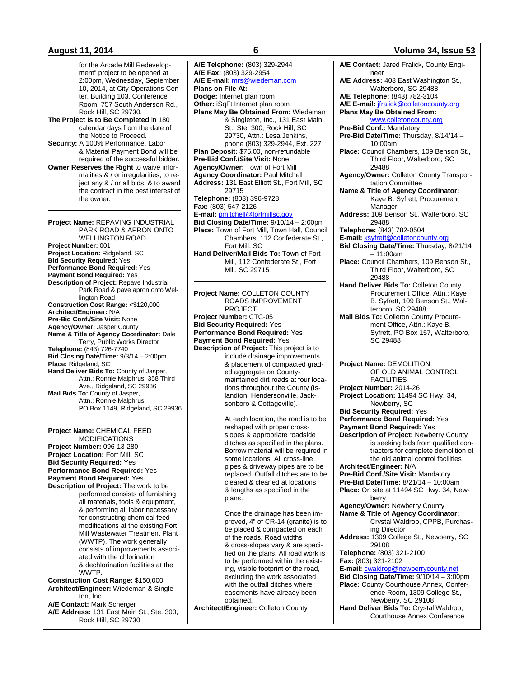for the Arcade Mill Redevelopment" project to be opened at 2:00pm, Wednesday, September 10, 2014, at City Operations Center, Building 103, Conference Room, 757 South Anderson Rd., Rock Hill, SC 29730.

**The Project Is to Be Completed** in 180 calendar days from the date of the Notice to Proceed.

**Security:** A 100% Performance, Labor & Material Payment Bond will be required of the successful bidder.

**Owner Reserves the Right** to waive informalities & / or irregularities, to reject any & / or all bids, & to award the contract in the best interest of the owner.

**Project Name:** REPAVING INDUSTRIAL PARK ROAD & APRON ONTO WELLINGTON ROAD **Project Number:** 001 **Project Location:** Ridgeland, SC **Bid Security Required:** Yes **Performance Bond Required:** Yes **Payment Bond Required:** Yes **Description of Project:** Repave Industrial Park Road & pave apron onto Wellington Road **Construction Cost Range:** <\$120,000 **Architect/Engineer:** N/A **Pre-Bid Conf./Site Visit:** None **Agency/Owner:** Jasper County **Name & Title of Agency Coordinator:** Dale Terry, Public Works Director **Telephone:** (843) 726-7740 **Bid Closing Date/Time:** 9/3/14 – 2:00pm **Place:** Ridgeland, SC **Hand Deliver Bids To:** County of Jasper, Attn.: Ronnie Malphrus, 358 Third Ave., Ridgeland, SC 29936 **Mail Bids To:** County of Jasper, Attn.: Ronnie Malphrus, PO Box 1149, Ridgeland, SC 29936

**Project Name:** CHEMICAL FEED MODIFICATIONS **Project Number:** 096-13-280 **Project Location:** Fort Mill, SC **Bid Security Required:** Yes **Performance Bond Required:** Yes **Payment Bond Required:** Yes **Description of Project:** The work to be performed consists of furnishing all materials, tools & equipment, & performing all labor necessary

for constructing chemical feed modifications at the existing Fort Mill Wastewater Treatment Plant (WWTP). The work generally consists of improvements associated with the chlorination & dechlorination facilities at the WWTP.

**Construction Cost Range:** \$150,000 **Architect/Engineer:** Wiedeman & Singleton, Inc.

**A/E Contact:** Mark Scherger **A/E Address:** 131 East Main St., Ste. 300, Rock Hill, SC 29730

**A/E Telephone:** (803) 329-2944 **A/E Fax:** (803) 329-2954 **A/E E-mail:** [mrs@wiedeman.com](mailto:mrs@wiedeman.com) **Plans on File At: Dodge:** Internet plan room **Other:** iSqFt Internet plan room **Plans May Be Obtained From:** Wiedeman & Singleton, Inc., 131 East Main St., Ste. 300, Rock Hill, SC 29730, Attn.: Lesa Jenkins, phone (803) 329-2944, Ext. 227 **Plan Deposit:** \$75.00, non-refundable **Pre-Bid Conf./Site Visit:** None **Agency/Owner:** Town of Fort Mill **Agency Coordinator:** Paul Mitchell **Address:** 131 East Elliott St., Fort Mill, SC 29715 **Telephone:** (803) 396-9728 **Fax:** (803) 547-2126 **E-mail:** [pmitchell@fortmillsc.gov](mailto:pmitchell@fortmillsc.gov) **Bid Closing Date/Time:** 9/10/14 – 2:00pm **Place:** Town of Fort Mill, Town Hall, Council Chambers, 112 Confederate St., Fort Mill, SC **Hand Deliver/Mail Bids To:** Town of Fort Mill, 112 Confederate St., Fort Mill, SC 29715

**Project Name:** COLLETON COUNTY ROADS IMPROVEMENT PROJECT **Project Number:** CTC-05 **Bid Security Required:** Yes **Performance Bond Required:** Yes **Payment Bond Required:** Yes **Description of Project:** This project is to include drainage improvements & placement of compacted graded aggregate on Countymaintained dirt roads at four locations throughout the County (Islandton, Hendersonville, Jacksonboro & Cottageville).

> At each location, the road is to be reshaped with proper crossslopes & appropriate roadside ditches as specified in the plans. Borrow material will be required in some locations. All cross-line pipes & driveway pipes are to be replaced. Outfall ditches are to be cleared & cleaned at locations & lengths as specified in the plans.

> Once the drainage has been improved, 4" of CR-14 (granite) is to be placed & compacted on each of the roads. Road widths & cross-slopes vary & are specified on the plans. All road work is to be performed within the existing, visible footprint of the road, excluding the work associated with the outfall ditches where easements have already been obtained.

**Architect/Engineer:** Colleton County

### **August 11, 2014 6 Volume 34, Issue 53**

**A/E Contact:** Jared Fralick, County Engineer **A/E Address:** 403 East Washington St., Walterboro, SC 29488 **A/E Telephone:** (843) 782-3104 **A/E E-mail:** [jfralick@colletoncounty.org](mailto:jfralick@colletoncounty.org) **Plans May Be Obtained From:** [www.colletoncounty.org](http://www.colletoncounty.org/) **Pre-Bid Conf.:** Mandatory **Pre-Bid Date/Time:** Thursday, 8/14/14 – 10:00am **Place:** Council Chambers, 109 Benson St., Third Floor, Walterboro, SC 29488 **Agency/Owner:** Colleton County Transportation Committee **Name & Title of Agency Coordinator:** Kaye B. Syfrett, Procurement Manager **Address:** 109 Benson St., Walterboro, SC 29488 **Telephone:** (843) 782-0504 **E-mail:** [ksyfrett@colletoncounty.org](mailto:ksyfrett@colletoncounty.org) **Bid Closing Date/Time:** Thursday, 8/21/14  $-11:00$ am **Place:** Council Chambers, 109 Benson St., Third Floor, Walterboro, SC 29488 **Hand Deliver Bids To:** Colleton County Procurement Office, Attn.: Kaye B. Syfrett, 109 Benson St., Walterboro, SC 29488 **Mail Bids To:** Colleton County Procurement Office, Attn.: Kaye B. Syfrett, PO Box 157, Walterboro, SC 29488 **Project Name:** DEMOLITION OF OLD ANIMAL CONTROL **FACILITIES Project Number:** 2014-26 **Project Location:** 11494 SC Hwy. 34, Newberry, SC **Bid Security Required:** Yes **Performance Bond Required:** Yes **Payment Bond Required:** Yes **Description of Project:** Newberry County is seeking bids from qualified contractors for complete demolition of the old animal control facilities **Architect/Engineer:** N/A **Pre-Bid Conf./Site Visit:** Mandatory **Pre-Bid Date/Time:** 8/21/14 – 10:00am **Place:** On site at 11494 SC Hwy. 34, Newberry **Agency/Owner:** Newberry County **Name & Title of Agency Coordinator:** Crystal Waldrop, CPPB, Purchasing Director **Address:** 1309 College St., Newberry, SC 29108 **Telephone:** (803) 321-2100 **Fax:** (803) 321-2102 **E-mail:** [cwaldrop@newberrycounty.net](mailto:cwaldrop@newberrycounty.net)

**Bid Closing Date/Time:** 9/10/14 – 3:00pm **Place:** County Courthouse Annex, Conference Room, 1309 College St., Newberry, SC 29108 **Hand Deliver Bids To:** Crystal Waldrop, Courthouse Annex Conference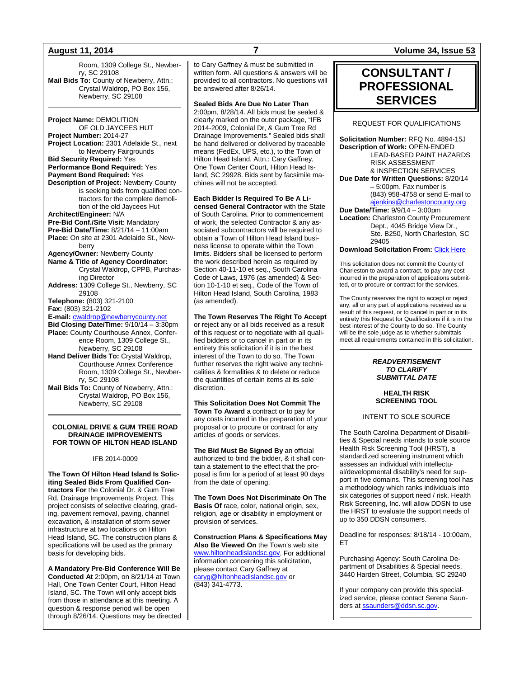Room, 1309 College St., Newberry, SC 29108 **Mail Bids To:** County of Newberry, Attn.: Crystal Waldrop, PO Box 156, Newberry, SC 29108

**Project Name:** DEMOLITION OF OLD JAYCEES HUT **Project Number:** 2014-27 **Project Location:** 2301 Adelaide St., next to Newberry Fairgrounds **Bid Security Required:** Yes **Performance Bond Required:** Yes **Payment Bond Required:** Yes **Description of Project:** Newberry County is seeking bids from qualified contractors for the complete demolition of the old Jaycees Hut **Architect/Engineer:** N/A **Pre-Bid Conf./Site Visit:** Mandatory **Pre-Bid Date/Time:** 8/21/14 – 11:00am **Place:** On site at 2301 Adelaide St., Newberry **Agency/Owner:** Newberry County **Name & Title of Agency Coordinator:** Crystal Waldrop, CPPB, Purchasing Director **Address:** 1309 College St., Newberry, SC 29108 **Telephone:** (803) 321-2100 **Fax:** (803) 321-2102 **E-mail:** [cwaldrop@newberrycounty.net](mailto:cwaldrop@newberrycounty.net) **Bid Closing Date/Time:** 9/10/14 – 3:30pm **Place:** County Courthouse Annex, Conference Room, 1309 College St., Newberry, SC 29108 **Hand Deliver Bids To:** Crystal Waldrop, Courthouse Annex Conference Room, 1309 College St., Newberry, SC 29108 **Mail Bids To:** County of Newberry, Attn.:

Crystal Waldrop, PO Box 156, Newberry, SC 29108

### **COLONIAL DRIVE & GUM TREE ROAD DRAINAGE IMPROVEMENTS FOR TOWN OF HILTON HEAD ISLAND**

### IFB 2014-0009

**The Town Of Hilton Head Island Is Soliciting Sealed Bids From Qualified Contractors For** the Colonial Dr. & Gum Tree Rd. Drainage Improvements Project. This project consists of selective clearing, grading, pavement removal, paving, channel excavation, & installation of storm sewer infrastructure at two locations on Hilton Head Island, SC. The construction plans & specifications will be used as the primary basis for developing bids.

**A Mandatory Pre-Bid Conference Will Be Conducted At** 2:00pm, on 8/21/14 at Town Hall, One Town Center Court, Hilton Head Island, SC. The Town will only accept bids from those in attendance at this meeting. A question & response period will be open through 8/26/14. Questions may be directed

to Cary Gaffney & must be submitted in written form. All questions & answers will be provided to all contractors. No questions will be answered after 8/26/14.

**Sealed Bids Are Due No Later Than** 2:00pm, 8/28/14. All bids must be sealed &

clearly marked on the outer package, "IFB 2014-2009, Colonial Dr, & Gum Tree Rd Drainage Improvements." Sealed bids shall be hand delivered or delivered by traceable means (FedEx, UPS, etc.), to the Town of Hilton Head Island, Attn.: Cary Gaffney, One Town Center Court, Hilton Head Island, SC 29928. Bids sent by facsimile machines will not be accepted.

**Each Bidder Is Required To Be A Licensed General Contractor** with the State of South Carolina. Prior to commencement of work, the selected Contractor & any associated subcontractors will be required to obtain a Town of Hilton Head Island business license to operate within the Town limits. Bidders shall be licensed to perform the work described herein as required by Section 40-11-10 et seq., South Carolina Code of Laws, 1976 (as amended) & Section 10-1-10 et seq., Code of the Town of Hilton Head Island, South Carolina, 1983 (as amended).

**The Town Reserves The Right To Accept**

or reject any or all bids received as a result of this request or to negotiate with all qualified bidders or to cancel in part or in its entirety this solicitation if it is in the best interest of the Town to do so. The Town further reserves the right waive any technicalities & formalities & to delete or reduce the quantities of certain items at its sole discretion.

**This Solicitation Does Not Commit The Town To Award** a contract or to pay for any costs incurred in the preparation of your proposal or to procure or contract for any articles of goods or services.

**The Bid Must Be Signed By** an official authorized to bind the bidder, & it shall contain a statement to the effect that the proposal is firm for a period of at least 90 days from the date of opening.

**The Town Does Not Discriminate On The Basis Of** race, color, national origin, sex, religion, age or disability in employment or provision of services.

**Construction Plans & Specifications May Also Be Viewed On** the Town's web site [www.hiltonheadislandsc.gov.](http://www.hiltonheadislandsc.gov/) For additional information concerning this solicitation, please contact Cary Gaffney at [caryg@hiltonheadislandsc.gov](mailto:caryg@hiltonheadislandsc.gov) or (843) 341-4773.

**August 11, 2014 7 Volume 34, Issue 53**

## **CONSULTANT / PROFESSIONAL SERVICES**

### REQUEST FOR QUALIFICATIONS

**Solicitation Number:** RFQ No. 4894-15J **Description of Work:** OPEN-ENDED LEAD-BASED PAINT HAZARDS RISK ASSESSMENT & INSPECTION SERVICES **Due Date for Written Questions:** 8/20/14 – 5:00pm. Fax number is (843) 958-4758 or send E-mail to [ajenkins@charlestoncounty.org](mailto:ajenkins@charlestoncounty.org) **Due Date/Time:** 9/9/14 – 3:00pm **Location:** Charleston County Procurement Dept., 4045 Bridge View Dr., Ste. B250, North Charleston, SC 29405

**Download Solicitation From:** [Click Here](http://www.charlestoncounty.org/departments/Procurement/cur-bids_pdfs/current_bids.htm)

This solicitation does not commit the County of Charleston to award a contract, to pay any cost incurred in the preparation of applications submitted, or to procure or contract for the services.

The County reserves the right to accept or reject any, all or any part of applications received as a result of this request, or to cancel in part or in its entirety this Request for Qualifications if it is in the best interest of the County to do so. The County will be the sole judge as to whether submittals meet all requirements contained in this solicitation.

### *READVERTISEMENT TO CLARIFY SUBMITTAL DATE*

**HEALTH RISK SCREENING TOOL**

INTENT TO SOLE SOURCE

The South Carolina Department of Disabilities & Special needs intends to sole source Health Risk Screening Tool (HRST), a standardized screening instrument which assesses an individual with intellectual/developmental disability's need for support in five domains. This screening tool has a methodology which ranks individuals into six categories of support need / risk. Health Risk Screening, Inc. will allow DDSN to use the HRST to evaluate the support needs of up to 350 DDSN consumers.

Deadline for responses: 8/18/14 - 10:00am, ET

Purchasing Agency: South Carolina Department of Disabilities & Special needs, .<br>3440 Harden Street, Columbia, SC 29240

If your company can provide this specialized service, please contact Serena Saunders a[t ssaunders@ddsn.sc.gov.](mailto:ssaunders@ddsn.sc.gov)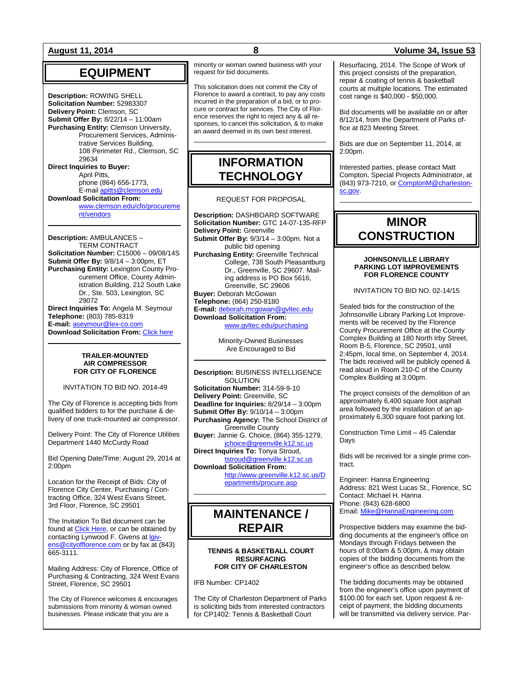## **EQUIPMENT**

**Description:** ROWING SHELL **Solicitation Number:** 52983307 **Delivery Point:** Clemson, SC **Submit Offer By:** 8/22/14 – 11:00am **Purchasing Entity:** Clemson University, Procurement Services, Administrative Services Building, 108 Perimeter Rd., Clemson, SC 29634 **Direct Inquiries to Buyer:** April Pitts, phone (864) 656-1773, E-mail [apitts@clemson.edu](mailto:apitts@clemson.edu) **Download Solicitation From:**

[www.clemson.edu/cfo/procureme](http://www.clemson.edu/cfo/procurement/vendors) [nt/vendors](http://www.clemson.edu/cfo/procurement/vendors)

**Description:** AMBULANCES – TERM CONTRACT **Solicitation Number:** C15006 – 09/08/14S **Submit Offer By:** 9/8/14 – 3:00pm, ET **Purchasing Entity:** Lexington County Procurement Office, County Administration Building, 212 South Lake Dr., Ste. 503, Lexington, SC 29072 **Direct Inquiries To:** Angela M. Seymour **Telephone:** (803) 785-8319 **E-mail:** [aseymour@lex-co.com](mailto:aseymour@lex-co.com) **Download Solicitation From:** [Click here](http://www.lex-co.sc.gov/departments/DeptIQ/procurement/Pages/BidOpportunities.aspx)

### **TRAILER-MOUNTED AIR COMPRESSOR FOR CITY OF FLORENCE**

INVITATION TO BID NO. 2014-49

The City of Florence is accepting bids from qualified bidders to for the purchase & delivery of one truck-mounted air compressor.

Delivery Point: The City of Florence Utilities Department 1440 McCurdy Road

Bid Opening Date/Time: August 29, 2014 at 2:00pm

Location for the Receipt of Bids: City of Florence City Center, Purchasing / Contracting Office, 324 West Evans Street, 3rd Floor, Florence, SC 29501

The Invitation To Bid document can be found a[t Click Here,](http://www.cityofflorence.com/departments/finance/purchasing.aspx) or can be obtained by contacting Lynwood F. Givens a[t lgiv](mailto:lgivens@cityofflorence.com)[ens@cityofflorence.com](mailto:lgivens@cityofflorence.com) or by fax at (843) 665-3111.

Mailing Address: City of Florence, Office of Purchasing & Contracting, 324 West Evans Street, Florence, SC 29501

The City of Florence welcomes & encourages submissions from minority & woman owned businesses. Please indicate that you are a

minority or woman owned business with your request for bid documents.

This solicitation does not commit the City of Florence to award a contract, to pay any costs incurred in the preparation of a bid, or to procure or contract for services. The City of Florence reserves the right to reject any & all responses, to cancel this solicitation, & to make an award deemed in its own best interest.

## **INFORMATION TECHNOLOGY**

REQUEST FOR PROPOSAL

**Description:** DASHBOARD SOFTWARE **Solicitation Number:** GTC 14-07-135-RFP **Delivery Point:** Greenville **Submit Offer By:** 9/3/14 – 3:00pm. Not a public bid opening **Purchasing Entity:** Greenville Technical College, 738 South Pleasantburg Dr., Greenville, SC 29607. Mailing address is PO Box 5616, Greenville, SC 29606 **Buyer:** Deborah McGowan **Telephone:** (864) 250-8180 **E-mail:** [deborah.mcgowan@gvltec.edu](mailto:deborah.mcgowan@gvltec.edu) **Download Solicitation From:** [www.gvltec.edu/purchasing](http://www.gvltec.edu/purchasing)

> Minority-Owned Businesses Are Encouraged to Bid

**Description:** BUSINESS INTELLIGENCE **SOLUTION Solicitation Number:** 314-59-9-10 **Delivery Point:** Greenville, SC **Deadline for Inquiries:** 8/29/14 – 3:00pm **Submit Offer By:** 9/10/14 – 3:00pm **Purchasing Agency:** The School District of Greenville County **Buyer:** Jannie G. Choice, (864) 355-1279, [jchoice@greenville.k12.sc.us](mailto:jchoice@greenville.k12.sc.us) **Direct Inquiries To:** Tonya Stroud, [tstroud@greenville.k12.sc.us](mailto:tstroud@greenville.k12.sc.us) **Download Solicitation From:**

> [http://www.greenville.k12.sc.us/D](http://www.greenville.k12.sc.us/Departments/procure.asp) [epartments/procure.asp](http://www.greenville.k12.sc.us/Departments/procure.asp)

## **MAINTENANCE / REPAIR**

### **TENNIS & BASKETBALL COURT RESURFACING FOR CITY OF CHARLESTON**

IFB Number: CP1402

The City of Charleston Department of Parks is soliciting bids from interested contractors for CP1402: Tennis & Basketball Court

### **August 11, 2014 8 Volume 34, Issue 53**

Resurfacing, 2014. The Scope of Work of this project consists of the preparation, repair & coating of tennis & basketball courts at multiple locations. The estimated cost range is \$40,000 - \$50,000.

Bid documents will be available on or after 8/12/14, from the Department of Parks office at 823 Meeting Street.

Bids are due on September 11, 2014, at 2:00pm.

Interested parties, please contact Matt Compton, Special Projects Administrator, at (843) 973-7210, o[r ComptonM@charleston](mailto:ComptonM@charleston-sc.gov)[sc.gov.](mailto:ComptonM@charleston-sc.gov)

## **MINOR CONSTRUCTION**

### **JOHNSONVILLE LIBRARY PARKING LOT IMPROVEMENTS FOR FLORENCE COUNTY**

INVITATION TO BID NO. 02-14/15

Sealed bids for the construction of the Johnsonville Library Parking Lot Improvements will be received by the Florence County Procurement Office at the County Complex Building at 180 North Irby Street, Room B-5, Florence, SC 29501, until 2:45pm, local time, on September 4, 2014. The bids received will be publicly opened & read aloud in Room 210-C of the County Complex Building at 3:00pm.

The project consists of the demolition of an approximately 6,400 square foot asphalt area followed by the installation of an approximately 6,300 square foot parking lot.

Construction Time Limit – 45 Calendar **Davs** 

Bids will be received for a single prime contract.

Engineer: Hanna Engineering Address: 821 West Lucas St., Florence, SC Contact: Michael H. Hanna Phone: (843) 628-6800 Email[: Mike@HannaEngineering.com](mailto:Mike@HannaEngineering.com)

Prospective bidders may examine the bidding documents at the engineer's office on Mondays through Fridays between the hours of 8:00am & 5:00pm, & may obtain copies of the bidding documents from the engineer's office as described below.

The bidding documents may be obtained from the engineer's office upon payment of \$100.00 for each set. Upon request & receipt of payment, the bidding documents will be transmitted via delivery service. Par-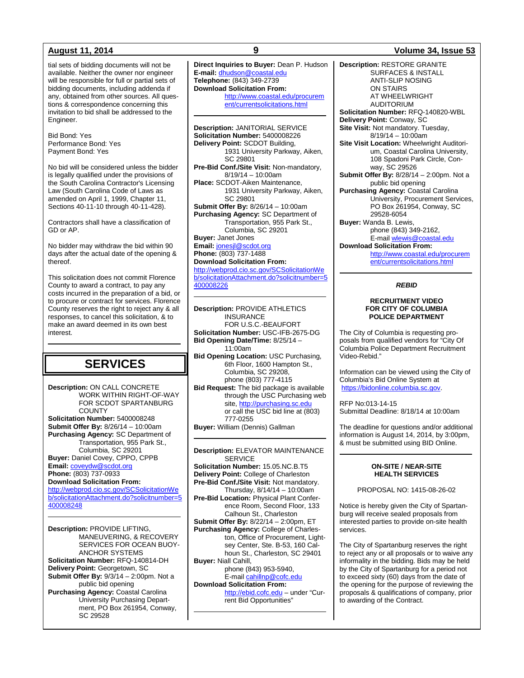tial sets of bidding documents will not be available. Neither the owner nor engineer will be responsible for full or partial sets of bidding documents, including addenda if any, obtained from other sources. All questions & correspondence concerning this invitation to bid shall be addressed to the Engineer.

Bid Bond: Yes Performance Bond: Yes Payment Bond: Yes

No bid will be considered unless the bidder is legally qualified under the provisions of the South Carolina Contractor's Licensing Law (South Carolina Code of Laws as amended on April 1, 1999, Chapter 11, Sections 40-11-10 through 40-11-428).

Contractors shall have a classification of GD or AP.

No bidder may withdraw the bid within 90 days after the actual date of the opening & thereof.

This solicitation does not commit Florence County to award a contract, to pay any costs incurred in the preparation of a bid, or to procure or contract for services. Florence County reserves the right to reject any & all responses, to cancel this solicitation, & to make an award deemed in its own best interest.

## **SERVICES**

**Description:** ON CALL CONCRETE WORK WITHIN RIGHT-OF-WAY FOR SCDOT SPARTANBURG **COUNTY Solicitation Number:** 5400008248 **Submit Offer By:** 8/26/14 – 10:00am **Purchasing Agency:** SC Department of Transportation, 955 Park St., Columbia, SC 29201 **Buyer:** Daniel Covey, CPPO, CPPB **Email:** [coveydw@scdot.org](mailto:coveydw@scdot.org) **Phone:** (803) 737-0933 **Download Solicitation From:** [http://webprod.cio.sc.gov/SCSolicitationWe](http://webprod.cio.sc.gov/SCSolicitationWeb/solicitationAttachment.do?solicitnumber=5400008248) [b/solicitationAttachment.do?solicitnumber=5](http://webprod.cio.sc.gov/SCSolicitationWeb/solicitationAttachment.do?solicitnumber=5400008248) [400008248](http://webprod.cio.sc.gov/SCSolicitationWeb/solicitationAttachment.do?solicitnumber=5400008248)

**Description:** PROVIDE LIFTING, MANEUVERING, & RECOVERY SERVICES FOR OCEAN BUOY-ANCHOR SYSTEMS **Solicitation Number:** RFQ-140814-DH **Delivery Point:** Georgetown, SC **Submit Offer By:** 9/3/14 – 2:00pm. Not a public bid opening **Purchasing Agency:** Coastal Carolina University Purchasing Department, PO Box 261954, Conway, SC 29528

**Direct Inquiries to Buyer:** Dean P. Hudson **E-mail:** [dhudson@coastal.edu](mailto:dhudson@coastal.edu) **Telephone:** (843) 349-2739 **Download Solicitation From:** [http://www.coastal.edu/procurem](http://www.coastal.edu/procurement/currentsolicitations.html) [ent/currentsolicitations.html](http://www.coastal.edu/procurement/currentsolicitations.html)

**Description:** JANITORIAL SERVICE **Solicitation Number:** 5400008226 **Delivery Point:** SCDOT Building, 1931 University Parkway, Aiken, SC 29801 **Pre-Bid Conf./Site Visit:** Non-mandatory, 8/19/14 – 10:00am **Place:** SCDOT-Aiken Maintenance, 1931 University Parkway, Aiken, SC 29801 **Submit Offer By:** 8/26/14 – 10:00am **Purchasing Agency:** SC Department of Transportation, 955 Park St., Columbia, SC 29201 **Buyer:** Janet Jones **Email:** [jonesjl@scdot.org](mailto:jonesjl@scdot.org) **Phone:** (803) 737-1488 **Download Solicitation From:** [http://webprod.cio.sc.gov/SCSolicitationWe](http://webprod.cio.sc.gov/SCSolicitationWeb/solicitationAttachment.do?solicitnumber=5400008226)

[b/solicitationAttachment.do?solicitnumber=5](http://webprod.cio.sc.gov/SCSolicitationWeb/solicitationAttachment.do?solicitnumber=5400008226) [400008226](http://webprod.cio.sc.gov/SCSolicitationWeb/solicitationAttachment.do?solicitnumber=5400008226)

**Description:** PROVIDE ATHLETICS INSURANCE FOR U.S.C.-BEAUFORT **Solicitation Number:** USC-IFB-2675-DG **Bid Opening Date/Time:** 8/25/14 – 11:00am **Bid Opening Location:** USC Purchasing,

6th Floor, 1600 Hampton St., Columbia, SC 29208, phone (803) 777-4115 **Bid Request:** The bid package is available through the USC Purchasing web

site[, http://purchasing.sc.edu](http://purchasing.sc.edu/) or call the USC bid line at (803) 777-0255

**Buyer:** William (Dennis) Gallman

**Description:** ELEVATOR MAINTENANCE **SERVICE Solicitation Number:** 15.05.NC.B.T5 **Delivery Point:** College of Charleston **Pre-Bid Conf./Site Visit:** Not mandatory. Thursday, 8/14/14 – 10:00am **Pre-Bid Location:** Physical Plant Conference Room, Second Floor, 133 Calhoun St., Charleston **Submit Offer By:** 8/22/14 – 2:00pm, ET **Purchasing Agency:** College of Charleston, Office of Procurement, Lightsey Center, Ste. B-53, 160 Calhoun St., Charleston, SC 29401 **Buyer:** Niall Cahill, phone (843) 953-5940, E-mai[l cahillnp@cofc.edu](mailto:cahillnp@cofc.edu) **Download Solicitation From:** [http://ebid.cofc.edu](http://ebid.cofc.edu/) – under "Current Bid Opportunities"

### **August 11, 2014 9 Volume 34, Issue 53**

**Description:** RESTORE GRANITE SURFACES & INSTALL ANTI-SLIP NOSING ON STAIRS AT WHEELWRIGHT AUDITORIUM **Solicitation Number:** RFQ-140820-WBL **Delivery Point:** Conway, SC **Site Visit:** Not mandatory. Tuesday,  $8/19/14 - 10:00$ am **Site Visit Location:** Wheelwright Auditorium, Coastal Carolina University, 108 Spadoni Park Circle, Conway, SC 29526 **Submit Offer By:** 8/28/14 – 2:00pm. Not a public bid opening **Purchasing Agency:** Coastal Carolina University, Procurement Services, PO Box 261954, Conway, SC 29528-6054 **Buyer:** Wanda B. Lewis, phone (843) 349-2162, E-mai[l wlewis@coastal.edu](mailto:wlewis@coastal.edu) **Download Solicitation From:** [http://www.coastal.edu/procurem](http://www.coastal.edu/procurement/currentsolicitations.html) [ent/currentsolicitations.html](http://www.coastal.edu/procurement/currentsolicitations.html)

### *REBID*

### **RECRUITMENT VIDEO FOR CITY OF COLUMBIA POLICE DEPARTMENT**

The City of Columbia is requesting proposals from qualified vendors for "City Of Columbia Police Department Recruitment Video-Rebid."

Information can be viewed using the City of Columbia's Bid Online System at [https://bidonline.columbia.sc.gov.](https://bidonline.columbia.sc.gov/)

RFP No:013-14-15 Submittal Deadline: 8/18/14 at 10:00am

The deadline for questions and/or additional information is August 14, 2014, by 3:00pm, & must be submitted using BID Online.

### **ON-SITE / NEAR-SITE HEALTH SERVICES**

PROPOSAL NO: 1415-08-26-02

Notice is hereby given the City of Spartanburg will receive sealed proposals from interested parties to provide on-site health services.

The City of Spartanburg reserves the right to reject any or all proposals or to waive any informality in the bidding. Bids may be held by the City of Spartanburg for a period not to exceed sixty (60) days from the date of the opening for the purpose of reviewing the proposals & qualifications of company, prior to awarding of the Contract.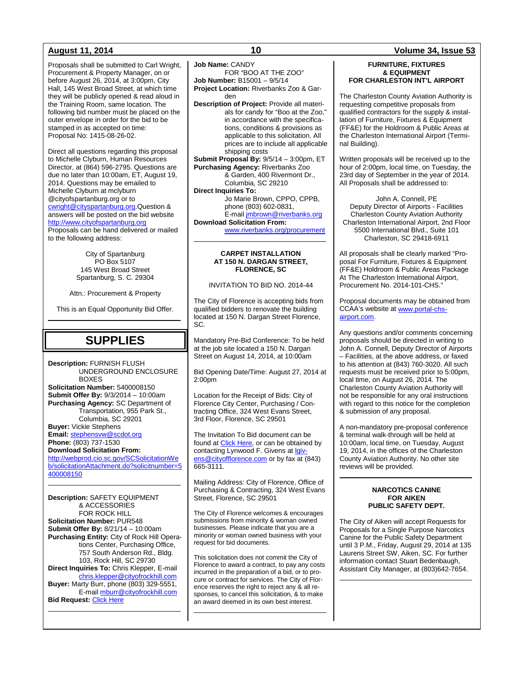Proposals shall be submitted to Carl Wright, Procurement & Property Manager, on or before August 26, 2014, at 3:00pm, City Hall, 145 West Broad Street, at which time they will be publicly opened & read aloud in the Training Room, same location. The following bid number must be placed on the outer envelope in order for the bid to be stamped in as accepted on time: Proposal No: 1415-08-26-02.

Direct all questions regarding this proposal to Michelle Clyburn, Human Resources Director, at (864) 596-2795. Questions are due no later than 10:00am, ET, August 19, 2014. Questions may be emailed to Michelle Clyburn at mclyburn @cityofspartanburg.org or to [cwright@cityspartanburg.org.](mailto:cwright@cityspartanburg.org)Question & answers will be posted on the bid website [http://www.cityofspartanburg.org](http://www.cityofspartanburg.org/) Proposals can be hand delivered or mailed to the following address:

> City of Spartanburg PO Box 5107 145 West Broad Street Spartanburg, S. C. 29304

Attn.: Procurement & Property

This is an Equal Opportunity Bid Offer.

## **SUPPLIES**

**Description:** FURNISH FLUSH UNDERGROUND ENCLOSURE BOXES **Solicitation Number:** 5400008150 **Submit Offer By:** 9/3/2014 – 10:00am **Purchasing Agency:** SC Department of Transportation, 955 Park St., Columbia, SC 29201 **Buyer:** Vickie Stephens **Email:** [stephensvw@scdot.org](mailto:stephensvw@scdot.org) **Phone:** (803) 737-1530 **Download Solicitation From:** [http://webprod.cio.sc.gov/SCSolicitationWe](http://webprod.cio.sc.gov/SCSolicitationWeb/solicitationAttachment.do?solicitnumber=5400008150) [b/solicitationAttachment.do?solicitnumber=5](http://webprod.cio.sc.gov/SCSolicitationWeb/solicitationAttachment.do?solicitnumber=5400008150) [400008150](http://webprod.cio.sc.gov/SCSolicitationWeb/solicitationAttachment.do?solicitnumber=5400008150)

**Description:** SAFETY EQUIPMENT & ACCESSORIES FOR ROCK HILL **Solicitation Number:** PUR548 **Submit Offer By:** 8/21/14 – 10:00am **Purchasing Entity:** City of Rock Hill Operations Center, Purchasing Office, 757 South Anderson Rd., Bldg. 103, Rock Hill, SC 29730 **Direct Inquiries To:** Chris Klepper, E-mail [chris.klepper@cityofrockhill.com](mailto:chris.klepper@cityofrockhill.com) **Buyer:** Marty Burr, phone (803) 329-5551, E-mail [mburr@cityofrockhill.com](mailto:mburr@cityofrockhill.com) **Bid Request: [Click Here](http://cityofrockhill.com/departments/general-government/purchasing/bids-proposal-requests)** 

**Job Name:** CANDY

FOR "BOO AT THE ZOO" **Job Number:** B15001 – 9/5/14

**Project Location:** Riverbanks Zoo & Garden

**Description of Project:** Provide all materials for candy for "Boo at the Zoo," in accordance with the specifications, conditions & provisions as applicable to this solicitation. All prices are to include all applicable shipping costs

**Submit Proposal By:** 9/5/14 – 3:00pm, ET **Purchasing Agency:** Riverbanks Zoo & Garden, 400 Rivermont Dr., Columbia, SC 29210

**Direct Inquiries To:**

Jo Marie Brown, CPPO, CPPB, phone (803) 602-0831, E-mai[l jmbrown@riverbanks.org](mailto:jmbrown@riverbanks.org)

**Download Solicitation From:**

[www.riverbanks.org/procurement](http://www.riverbanks.org/procurement)

### **CARPET INSTALLATION AT 150 N. DARGAN STREET, FLORENCE, SC**

### INVITATION TO BID NO. 2014-44

The City of Florence is accepting bids from qualified bidders to renovate the building located at 150 N. Dargan Street Florence, SC.

Mandatory Pre-Bid Conference: To be held at the job site located a 150 N. Dargan Street on August 14, 2014, at 10:00am

Bid Opening Date/Time: August 27, 2014 at 2:00pm

Location for the Receipt of Bids: City of Florence City Center, Purchasing / Contracting Office, 324 West Evans Street, 3rd Floor, Florence, SC 29501

The Invitation To Bid document can be found a[t Click Here,](http://www.cityofflorence.com/departments/finance/purchasing.aspx) or can be obtained by contacting Lynwood F. Givens at laiv[ens@cityofflorence.com](mailto:lgivens@cityofflorence.com) or by fax at (843) 665-3111.

Mailing Address: City of Florence, Office of Purchasing & Contracting, 324 West Evans Street, Florence, SC 29501

The City of Florence welcomes & encourages submissions from minority & woman owned businesses. Please indicate that you are a minority or woman owned business with your request for bid documents.

This solicitation does not commit the City of Florence to award a contract, to pay any costs incurred in the preparation of a bid, or to procure or contract for services. The City of Florence reserves the right to reject any & all responses, to cancel this solicitation, & to make an award deemed in its own best interest.

### **August 11, 2014 10 Volume 34, Issue 53**

### **FURNITURE, FIXTURES & EQUIPMENT FOR CHARLESTON INT'L AIRPORT**

The Charleston County Aviation Authority is requesting competitive proposals from qualified contractors for the supply & installation of Furniture, Fixtures & Equipment (FF&E) for the Holdroom & Public Areas at the Charleston International Airport (Terminal Building).

Written proposals will be received up to the hour of 2:00pm, local time, on Tuesday, the 23rd day of September in the year of 2014. All Proposals shall be addressed to:

John A. Connell, PE Deputy Director of Airports - Facilities Charleston County Aviation Authority Charleston International Airport, 2nd Floor 5500 International Blvd., Suite 101 Charleston, SC 29418-6911

All proposals shall be clearly marked "Proposal For Furniture, Fixtures & Equipment (FF&E) Holdroom & Public Areas Package At The Charleston International Airport, Procurement No. 2014-101-CHS."

Proposal documents may be obtained from CCAA's website a[t www.portal-chs](http://www.portal-chs-airport.com/)[airport.com.](http://www.portal-chs-airport.com/)

Any questions and/or comments concerning proposals should be directed in writing to John A. Connell, Deputy Director of Airports – Facilities, at the above address, or faxed to his attention at (843) 760-3020. All such requests must be received prior to 5:00pm, local time, on August 26, 2014. The Charleston County Aviation Authority will not be responsible for any oral instructions with regard to this notice for the completion & submission of any proposal.

A non-mandatory pre-proposal conference & terminal walk-through will be held at 10:00am, local time, on Tuesday, August 19, 2014, in the offices of the Charleston County Aviation Authority. No other site reviews will be provided.

### **NARCOTICS CANINE FOR AIKEN PUBLIC SAFETY DEPT.**

The City of Aiken will accept Requests for Proposals for a Single Purpose Narcotics Canine for the Public Safety Department until 3 P.M., Friday, August 29, 2014 at 135 Laurens Street SW, Aiken, SC. For further information contact Stuart Bedenbaugh, Assistant City Manager, at (803)642-7654.